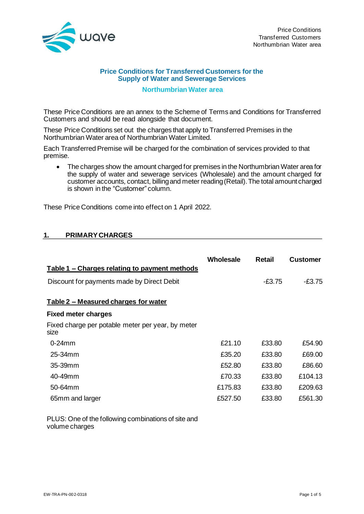

### **Price Conditions for Transferred Customers for the Supply of Water and Sewerage Services**

### **Northumbrian Water area**

These Price Conditions are an annex to the Scheme of Terms and Conditions for Transferred Customers and should be read alongside that document.

These Price Conditions set out the charges that apply to Transferred Premises in the Northumbrian Water area of Northumbrian Water Limited.

Each Transferred Premise will be charged for the combination of services provided to that premise.

• The charges show the amount charged for premises in the Northumbrian Water area for the supply of water and sewerage services (Wholesale) and the amount charged for customer accounts, contact, billing and meter reading (Retail). The total amount charged is shown in the "Customer" column.

These Price Conditions come into effect on 1 April 2022.

# **1. PRIMARYCHARGES**

|                                                           | Wholesale | <b>Retail</b> | Customer |
|-----------------------------------------------------------|-----------|---------------|----------|
| <u>Table 1 – Charges relating to payment methods</u>      |           |               |          |
| Discount for payments made by Direct Debit                |           | -£3.75        | $-£3.75$ |
| Table 2 - Measured charges for water                      |           |               |          |
| <b>Fixed meter charges</b>                                |           |               |          |
| Fixed charge per potable meter per year, by meter<br>size |           |               |          |
| $0-24$ mm                                                 | £21.10    | £33.80        | £54.90   |
| $25-34$ mm                                                | £35.20    | £33.80        | £69.00   |
| $35-39$ mm                                                | £52.80    | £33.80        | £86.60   |
| 40-49mm                                                   | £70.33    | £33.80        | £104.13  |
| 50-64mm                                                   | £175.83   | £33.80        | £209.63  |
| 65mm and larger                                           | £527.50   | £33.80        | £561.30  |

PLUS: One of the following combinations of site and volume charges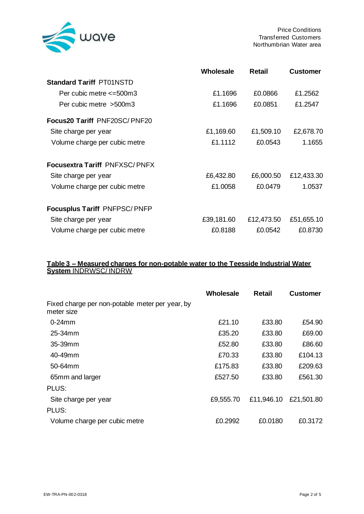

Price Conditions Transferred Customers Northumbrian Water area

|                                      | Wholesale  | <b>Retail</b> | Customer   |
|--------------------------------------|------------|---------------|------------|
| <b>Standard Tariff PT01NSTD</b>      |            |               |            |
| Per cubic metre $\leq 500$ m3        | £1.1696    | £0.0866       | £1.2562    |
| Per cubic metre > 500m3              | £1.1696    | £0.0851       | £1.2547    |
| Focus20 Tariff PNF20SC/PNF20         |            |               |            |
| Site charge per year                 | £1,169.60  | £1,509.10     | £2,678.70  |
| Volume charge per cubic metre        | £1.1112    | £0.0543       | 1.1655     |
| <b>Focusextra Tariff PNFXSC/PNFX</b> |            |               |            |
| Site charge per year                 | £6,432.80  | £6,000.50     | £12,433.30 |
| Volume charge per cubic metre        | £1.0058    | £0.0479       | 1.0537     |
| Focusplus Tariff PNFPSC/PNFP         |            |               |            |
| Site charge per year                 | £39,181.60 | £12,473.50    | £51,655.10 |
| Volume charge per cubic metre        | £0.8188    | £0.0542       | £0.8730    |

### **Table 3 – Measured charges for non-potable water to the Teesside Industrial Water System** INDRWSC/ INDRW

|                                                               | Wholesale | <b>Retail</b> | <b>Customer</b> |
|---------------------------------------------------------------|-----------|---------------|-----------------|
| Fixed charge per non-potable meter per year, by<br>meter size |           |               |                 |
| $0-24$ mm                                                     | £21.10    | £33.80        | £54.90          |
| 25-34mm                                                       | £35.20    | £33.80        | £69.00          |
| 35-39mm                                                       | £52.80    | £33.80        | £86.60          |
| 40-49mm                                                       | £70.33    | £33.80        | £104.13         |
| $50-64$ mm                                                    | £175.83   | £33.80        | £209.63         |
| 65mm and larger                                               | £527.50   | £33.80        | £561.30         |
| PLUS:                                                         |           |               |                 |
| Site charge per year                                          | £9,555.70 | £11,946.10    | £21,501.80      |
| PLUS:                                                         |           |               |                 |
| Volume charge per cubic metre                                 | £0.2992   | £0.0180       | £0.3172         |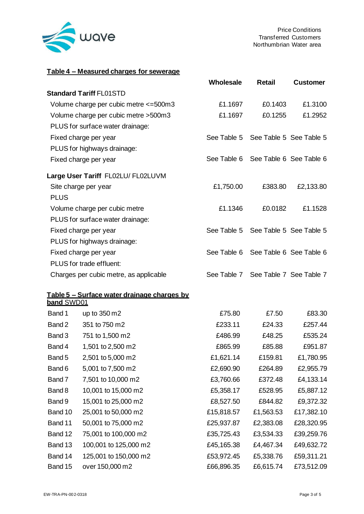

## **Table 4 – Measured charges for sewerage**

|                                        | Wholesale | <b>Retail</b>                       | <b>Customer</b> |
|----------------------------------------|-----------|-------------------------------------|-----------------|
| <b>Standard Tariff FL01STD</b>         |           |                                     |                 |
| Volume charge per cubic metre <= 500m3 | £1.1697   | £0.1403                             | £1.3100         |
| Volume charge per cubic metre > 500m3  | £1.1697   | £0.1255                             | £1.2952         |
| PLUS for surface water drainage:       |           |                                     |                 |
| Fixed charge per year                  |           | See Table 5 See Table 5 See Table 5 |                 |
| PLUS for highways drainage:            |           |                                     |                 |
| Fixed charge per year                  |           | See Table 6 See Table 6 See Table 6 |                 |
| Large User Tariff FL02LU/ FL02LUVM     |           |                                     |                 |
| Site charge per year                   | £1,750.00 | £383.80                             | £2,133.80       |
| <b>PLUS</b>                            |           |                                     |                 |
| Volume charge per cubic metre          | £1.1346   | £0.0182                             | £1.1528         |
| PLUS for surface water drainage:       |           |                                     |                 |
| Fixed charge per year                  |           | See Table 5 See Table 5 See Table 5 |                 |
| PLUS for highways drainage:            |           |                                     |                 |
| Fixed charge per year                  |           | See Table 6 See Table 6 See Table 6 |                 |
| PLUS for trade effluent:               |           |                                     |                 |
| Charges per cubic metre, as applicable |           | See Table 7 See Table 7 See Table 7 |                 |

#### **Table 5 – Surface water drainage charges by band** SWD01

| up to 350 m2          | £75.80     | £7.50     | £83.30     |
|-----------------------|------------|-----------|------------|
| 351 to 750 m2         | £233.11    | £24.33    | £257.44    |
| 751 to 1,500 m2       | £486.99    | £48.25    | £535.24    |
| 1,501 to 2,500 m2     | £865.99    | £85.88    | £951.87    |
| 2,501 to 5,000 m2     | £1,621.14  | £159.81   | £1,780.95  |
| 5,001 to 7,500 m2     | £2,690.90  | £264.89   | £2,955.79  |
| 7,501 to 10,000 m2    | £3,760.66  | £372.48   | £4,133.14  |
| 10,001 to 15,000 m2   | £5,358.17  | £528.95   | £5,887.12  |
| 15,001 to 25,000 m2   | £8,527.50  | £844.82   | £9,372.32  |
| 25,001 to 50,000 m2   | £15,818.57 | £1,563.53 | £17,382.10 |
| 50,001 to 75,000 m2   | £25,937.87 | £2,383.08 | £28,320.95 |
| 75,001 to 100,000 m2  | £35,725.43 | £3,534.33 | £39,259.76 |
| 100,001 to 125,000 m2 | £45,165.38 | £4,467.34 | £49,632.72 |
| 125,001 to 150,000 m2 | £53,972.45 | £5,338.76 | £59,311.21 |
| over 150,000 m2       | £66,896.35 | £6,615.74 | £73,512.09 |
|                       |            |           |            |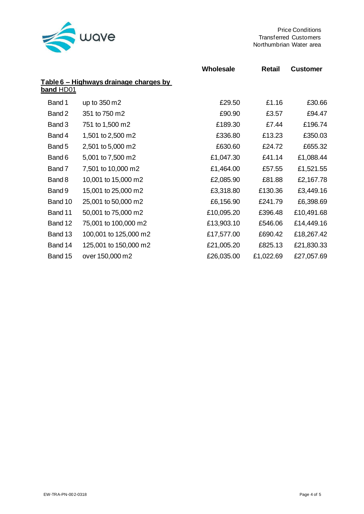

Price Conditions Transferred Customers Northumbrian Water area

|           |                                        | Wholesale  | <b>Retail</b> | <b>Customer</b> |
|-----------|----------------------------------------|------------|---------------|-----------------|
|           | Table 6 - Highways drainage charges by |            |               |                 |
| band HD01 |                                        |            |               |                 |
| Band 1    | up to 350 m2                           | £29.50     | £1.16         | £30.66          |
| Band 2    | 351 to 750 m2                          | £90.90     | £3.57         | £94.47          |
| Band 3    | 751 to 1,500 m2                        | £189.30    | £7.44         | £196.74         |
| Band 4    | 1,501 to 2,500 m2                      | £336.80    | £13.23        | £350.03         |
| Band 5    | 2,501 to 5,000 m2                      | £630.60    | £24.72        | £655.32         |
| Band 6    | 5,001 to 7,500 m2                      | £1,047.30  | £41.14        | £1,088.44       |
| Band 7    | 7,501 to 10,000 m2                     | £1,464.00  | £57.55        | £1,521.55       |
| Band 8    | 10,001 to 15,000 m2                    | £2,085.90  | £81.88        | £2,167.78       |
| Band 9    | 15,001 to 25,000 m2                    | £3,318.80  | £130.36       | £3,449.16       |
| Band 10   | 25,001 to 50,000 m2                    | £6,156.90  | £241.79       | £6,398.69       |
| Band 11   | 50,001 to 75,000 m2                    | £10,095.20 | £396.48       | £10,491.68      |
| Band 12   | 75,001 to 100,000 m2                   | £13,903.10 | £546.06       | £14,449.16      |
| Band 13   | 100,001 to 125,000 m2                  | £17,577.00 | £690.42       | £18,267.42      |
| Band 14   | 125,001 to 150,000 m2                  | £21,005.20 | £825.13       | £21,830.33      |
| Band 15   | over 150,000 m2                        | £26,035.00 | £1,022.69     | £27,057.69      |